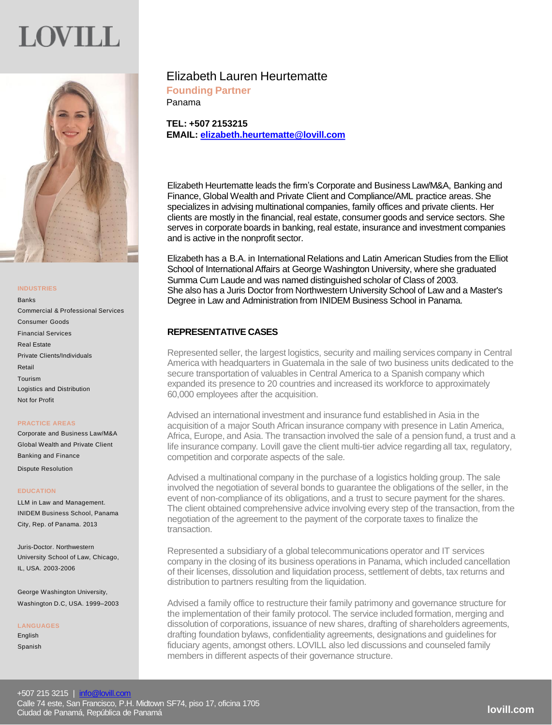# LOVILL



#### **INDUSTRIES**

Banks Commercial & Professional Services Consumer Goods Financial Services Real Estate Private Clients/Individuals Retail Tourism Logistics and Distribution Not for Profit

### **PRACTICE AREAS**

Corporate and Business Law/M&A Global Wealth and Private Client Banking and Finance Dispute Resolution

### **EDUCATION**

LLM in Law and Management. INIDEM Business School, Panama City, Rep. of Panama. 2013

Juris-Doctor. Northwestern University School of Law, Chicago, IL, USA. 2003-2006

George Washington University, Washington D.C, USA. 1999–2003

### **LANGUAGES**

English Spanish

## Elizabeth Lauren Heurtematte

**Founding Partner** Panama

**TEL: +507 2153215 EMAIL: [elizabeth.heurtematte@lovill.com](mailto:elizabeth.heurtematte@lovill.com)**

Elizabeth Heurtematte leads the firm's Corporate and Business Law/M&A, Banking and Finance, Global Wealth and Private Client and Compliance/AML practice areas. She specializes in advising multinational companies, family offices and private clients. Her clients are mostly in the financial, real estate, consumer goods and service sectors. She serves in corporate boards in banking, real estate, insurance and investment companies and is active in the nonprofit sector.

Elizabeth has a B.A. in International Relations and Latin American Studies from the Elliot School of International Affairs at George Washington University, where she graduated Summa Cum Laude and was named distinguished scholar of Class of 2003. She also has a Juris Doctor from Northwestern University School of Law and a Master's Degree in Law and Administration from INIDEM Business School in Panama.

### **REPRESENTATIVE CASES**

Represented seller, the largest logistics, security and mailing services company in Central America with headquarters in Guatemala in the sale of two business units dedicated to the secure transportation of valuables in Central America to a Spanish company which expanded its presence to 20 countries and increased its workforce to approximately 60,000 employees after the acquisition.

Advised an international investment and insurance fund established in Asia in the acquisition of a major South African insurance company with presence in Latin America, Africa, Europe, and Asia. The transaction involved the sale of a pension fund, a trust and a life insurance company. Lovill gave the client multi-tier advice regarding all tax, regulatory, competition and corporate aspects of the sale.

Advised a multinational company in the purchase of a logistics holding group. The sale involved the negotiation of several bonds to guarantee the obligations of the seller, in the event of non-compliance of its obligations, and a trust to secure payment for the shares. The client obtained comprehensive advice involving every step of the transaction, from the negotiation of the agreement to the payment of the corporate taxes to finalize the transaction.

Represented a subsidiary of a global telecommunications operator and IT services company in the closing of its business operations in Panama, which included cancellation of their licenses, dissolution and liquidation process, settlement of debts, tax returns and distribution to partners resulting from the liquidation.

Advised a family office to restructure their family patrimony and governance structure for the implementation of their family protocol. The service included formation, merging and dissolution of corporations, issuance of new shares, drafting of shareholders agreements, drafting foundation bylaws, confidentiality agreements, designations and guidelines for fiduciary agents, amongst others. LOVILL also led discussions and counseled family members in different aspects of their governance structure.